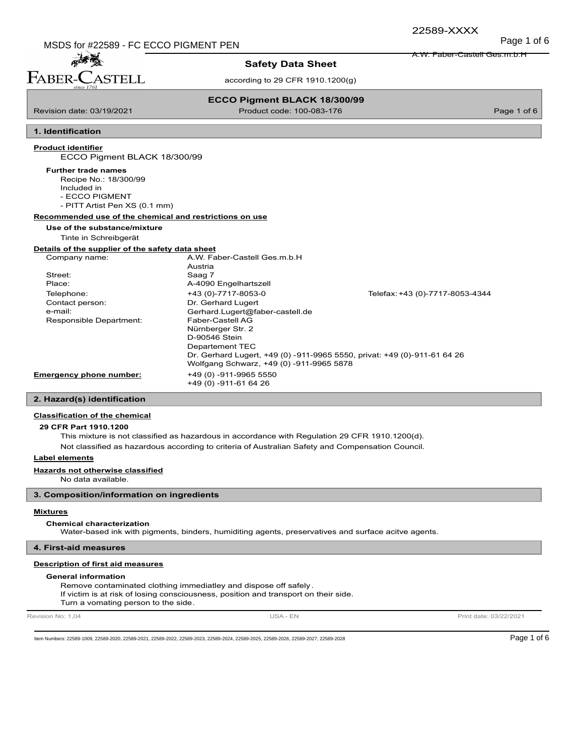MSDS for #22589 - FC ECCO PIGMENT PEN MSDS for #22589 - FC ECCO PIGMENT PEN

A.W. Faber-Castell Ges.m.b.H

## 孟子 FABER-C **STELL**

### **Safety Data Sheet**

according to 29 CFR 1910.1200(g)

**ECCO Pigment BLACK 18/300/99** Revision date: 03/19/2021 Product code: 100-083-176 Page 1 of 6

**1. Identification**

#### **Product identifier**

ECCO Pigment BLACK 18/300/99

#### **Further trade names**

- Recipe No.: 18/300/99
	- Included in

- ECCO PIGMENT

- PITT Artist Pen XS (0.1 mm)

#### **Recommended use of the chemical and restrictions on use**

#### **Use of the substance/mixture**

Tinte in Schreibgerät

#### **Details of the supplier of the safety data sheet**

| Company name:           | A.W. Faber-Castell Ges.m.b.H             |                                                                          |
|-------------------------|------------------------------------------|--------------------------------------------------------------------------|
|                         | Austria                                  |                                                                          |
| Street:                 | Saag 7                                   |                                                                          |
| Place:                  | A-4090 Engelhartszell                    |                                                                          |
| Telephone:              | +43 (0)-7717-8053-0                      | Telefax: +43 (0)-7717-8053-4344                                          |
| Contact person:         | Dr. Gerhard Lugert                       |                                                                          |
| e-mail:                 | Gerhard.Lugert@faber-castell.de          |                                                                          |
| Responsible Department: | Faber-Castell AG                         |                                                                          |
|                         | Nürnberger Str. 2                        |                                                                          |
|                         | D-90546 Stein                            |                                                                          |
|                         | Departement TEC                          |                                                                          |
|                         |                                          | Dr. Gerhard Lugert, +49 (0) -911-9965 5550, privat: +49 (0)-911-61 64 26 |
|                         | Wolfgang Schwarz, +49 (0) -911-9965 5878 |                                                                          |
| Emergency phone number: | +49 (0) -911-9965 5550                   |                                                                          |
|                         | +49 (0) -911-61 64 26                    |                                                                          |

#### **2. Hazard(s) identification**

#### **Classification of the chemical**

#### **29 CFR Part 1910.1200**

This mixture is not classified as hazardous in accordance with Regulation 29 CFR 1910.1200(d).

Not classified as hazardous according to criteria of Australian Safety and Compensation Council.

#### **Label elements**

#### **Hazards not otherwise classified**

No data available.

#### **3. Composition/information on ingredients**

#### **Mixtures**

#### **Chemical characterization**

Water-based ink with pigments, binders, humiditing agents, preservatives and surface acitve agents.

#### **4. First-aid measures**

#### **Description of first aid measures**

#### **General information**

Remove contaminated clothing immediatley and dispose off safely. If victim is at risk of losing consciousness, position and transport on their side. Turn a vomating person to the side.

Revision No: 1,04 **Print date: 03/22/2021** USA - EN USA - EN Print date: 03/22/2021

Item Numbers: 22589-1009, 22589-2020, 22589-2021, 22589-2022, 22589-2023, 22589-2025, 22589-2025, 22589-2026, 22589-2026, 22589-2027, 22589-2027, 22589-2028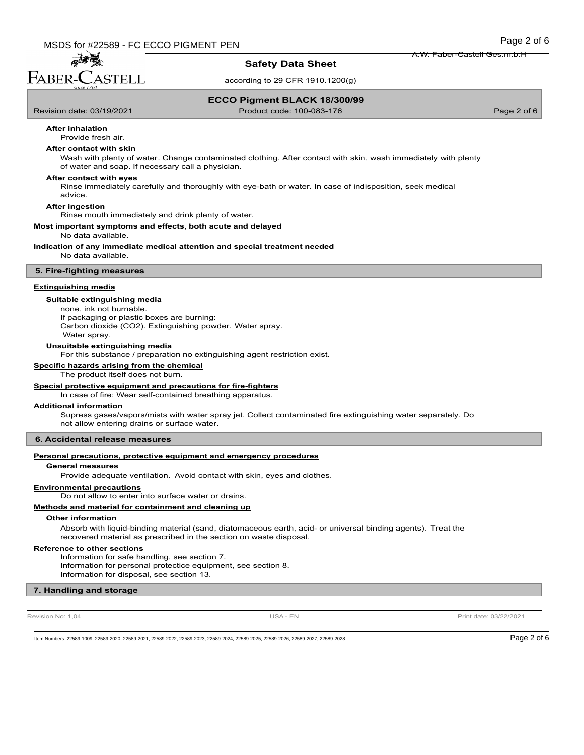FABER-CASTELL

孟秀熙

### **Safety Data Sheet**

according to 29 CFR 1910.1200(g)

#### **ECCO Pigment BLACK 18/300/99**

Revision date: 03/19/2021 Product code: 100-083-176 Page 2 of 6

### **After inhalation**

Provide fresh air.

### **After contact with skin**

Wash with plenty of water. Change contaminated clothing. After contact with skin, wash immediately with plenty of water and soap. If necessary call a physician.

#### **After contact with eyes**

Rinse immediately carefully and thoroughly with eye-bath or water. In case of indisposition, seek medical advice.

#### **After ingestion**

Rinse mouth immediately and drink plenty of water.

#### **Most important symptoms and effects, both acute and delayed**

No data available.

**Indication of any immediate medical attention and special treatment needed**

No data available.

#### **5. Fire-fighting measures**

#### **Extinguishing media**

### **Suitable extinguishing media**

none, ink not burnable.

If packaging or plastic boxes are burning: Carbon dioxide (CO2). Extinguishing powder. Water spray. Water spray.

#### **Unsuitable extinguishing media**

For this substance / preparation no extinguishing agent restriction exist.

#### **Specific hazards arising from the chemical**

The product itself does not burn.

#### **Special protective equipment and precautions for fire-fighters**

In case of fire: Wear self-contained breathing apparatus.

#### **Additional information**

Supress gases/vapors/mists with water spray jet. Collect contaminated fire extinguishing water separately. Do not allow entering drains or surface water.

#### **6. Accidental release measures**

#### **Personal precautions, protective equipment and emergency procedures**

#### **General measures**

Provide adequate ventilation. Avoid contact with skin, eyes and clothes.

#### **Environmental precautions**

Do not allow to enter into surface water or drains.

#### **Methods and material for containment and cleaning up**

#### **Other information**

Absorb with liquid-binding material (sand, diatomaceous earth, acid- or universal binding agents). Treat the recovered material as prescribed in the section on waste disposal.

#### **Reference to other sections**

Information for safe handling, see section 7. Information for personal protectice equipment, see section 8. Information for disposal, see section 13.

#### **7. Handling and storage**

Revision No: 1,04 **Print date: 03/22/2021** USA - EN USA - EN Print date: 03/22/2021

Item Numbers: 22589-1009, 22589-2020, 22589-2021, 22589-2022, 22589-2023, 22589-2025, 22589-2025, 22589-2026, 22589-2026, 22589-2027, 22589-2027, 22589-2028

A.W. Faber-Castell Ges.m.b.H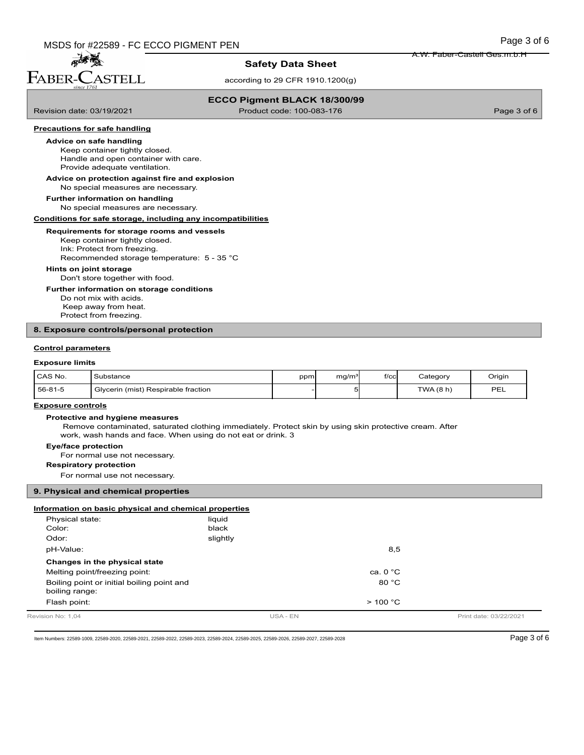孟子 FABER-CASTELL

### **Safety Data Sheet**

according to 29 CFR 1910.1200(g)

### **ECCO Pigment BLACK 18/300/99**

Revision date: 03/19/2021 Product code: 100-083-176 Page 3 of 6

A.W. Faber-Castell Ges.m.b.H

#### **Precautions for safe handling**

#### **Advice on safe handling**

Keep container tightly closed. Handle and open container with care. Provide adequate ventilation.

### **Advice on protection against fire and explosion**

No special measures are necessary.

No special measures are necessary. **Further information on handling**

#### **Conditions for safe storage, including any incompatibilities**

#### **Requirements for storage rooms and vessels**

Keep container tightly closed. Ink: Protect from freezing. Recommended storage temperature: 5 - 35 °C

#### **Hints on joint storage**

Don't store together with food.

#### **Further information on storage conditions**

Do not mix with acids. Keep away from heat. Protect from freezing.

#### **8. Exposure controls/personal protection**

#### **Control parameters**

#### **Exposure limits**

| CAS No. | Substance                                | ppml | ma/m <sup>3</sup> | f/cc | Categorv | Origin |
|---------|------------------------------------------|------|-------------------|------|----------|--------|
| 56-81-5 | Glvcerin<br>ı (mist) Respirable fraction |      |                   |      | TWA(8 h) | PEL    |

#### **Exposure controls**

#### **Protective and hygiene measures**

 Remove contaminated, saturated clothing immediately. Protect skin by using skin protective cream. After work, wash hands and face. When using do not eat or drink. 3

#### **Eye/face protection**

For normal use not necessary.

#### **Respiratory protection**

For normal use not necessary.

#### **9. Physical and chemical properties**

#### **Information on basic physical and chemical properties**

| slightly<br>Odor:<br>8,5<br>pH-Value:<br>Changes in the physical state<br>Melting point/freezing point:<br>ca. $0 °C$<br>80 °C<br>Boiling point or initial boiling point and<br>boiling range:<br>Flash point:<br>$>$ 100 °C |  |
|------------------------------------------------------------------------------------------------------------------------------------------------------------------------------------------------------------------------------|--|
|                                                                                                                                                                                                                              |  |
|                                                                                                                                                                                                                              |  |
|                                                                                                                                                                                                                              |  |
|                                                                                                                                                                                                                              |  |
|                                                                                                                                                                                                                              |  |
|                                                                                                                                                                                                                              |  |
| liquid<br>Physical state:<br>black<br>Color:                                                                                                                                                                                 |  |

Item Numbers: 22589-1009, 22589-2020, 22589-2021, 22589-2022, 22589-2023, 22589-2025, 22589-2025, 22589-2026, 22589-2026, 22589-2027, 22589-2028 Page 3 of 6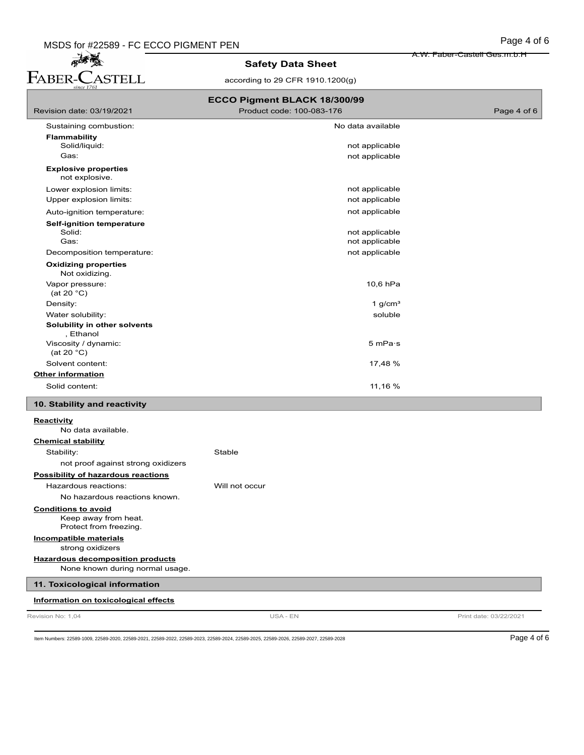MSDS for #22589 - FC ECCO PIGMENT PEN<br> **Page 4 of 6**<br> **Page 4 of 6**<br> **PABER-CASTELL**<br> **PABER-CASTELL**<br> **PABER-CASTELL**<br> **PABER-CASTELL**<br> **PABER-CASTELL**<br> **PABER-CASTELL**<br> **PABER-CASTELL** 

### **Safety Data Sheet**

according to 29 CFR 1910.1200(g)

| ECCO Pigment BLACK 18/300/99                                                 |                                  |                        |  |
|------------------------------------------------------------------------------|----------------------------------|------------------------|--|
| Revision date: 03/19/2021                                                    | Product code: 100-083-176        | Page 4 of 6            |  |
| Sustaining combustion:                                                       | No data available                |                        |  |
| <b>Flammability</b>                                                          |                                  |                        |  |
| Solid/liquid:                                                                | not applicable                   |                        |  |
| Gas:                                                                         | not applicable                   |                        |  |
| <b>Explosive properties</b><br>not explosive.                                |                                  |                        |  |
| Lower explosion limits:                                                      | not applicable                   |                        |  |
| Upper explosion limits:                                                      | not applicable                   |                        |  |
| Auto-ignition temperature:                                                   | not applicable                   |                        |  |
| <b>Self-ignition temperature</b>                                             |                                  |                        |  |
| Solid:<br>Gas:                                                               | not applicable<br>not applicable |                        |  |
|                                                                              |                                  |                        |  |
| Decomposition temperature:                                                   | not applicable                   |                        |  |
| <b>Oxidizing properties</b><br>Not oxidizing.                                |                                  |                        |  |
| Vapor pressure:<br>(at 20 $°C$ )                                             | 10,6 hPa                         |                        |  |
| Density:                                                                     | 1 $g/cm3$                        |                        |  |
| Water solubility:                                                            | soluble                          |                        |  |
| Solubility in other solvents<br>, Ethanol                                    |                                  |                        |  |
| Viscosity / dynamic:<br>(at 20 $^{\circ}$ C)                                 | 5 mPa·s                          |                        |  |
| Solvent content:                                                             | 17,48 %                          |                        |  |
| <b>Other information</b>                                                     |                                  |                        |  |
| Solid content:                                                               | 11,16 %                          |                        |  |
| 10. Stability and reactivity                                                 |                                  |                        |  |
| <b>Reactivity</b>                                                            |                                  |                        |  |
| No data available.                                                           |                                  |                        |  |
| <b>Chemical stability</b>                                                    |                                  |                        |  |
| Stability:                                                                   | Stable                           |                        |  |
| not proof against strong oxidizers                                           |                                  |                        |  |
| Possibility of hazardous reactions                                           |                                  |                        |  |
| Hazardous reactions:                                                         | Will not occur                   |                        |  |
| No hazardous reactions known.                                                |                                  |                        |  |
| <b>Conditions to avoid</b><br>Keep away from heat.<br>Protect from freezing. |                                  |                        |  |
| Incompatible materials<br>strong oxidizers                                   |                                  |                        |  |
| <b>Hazardous decomposition products</b><br>None known during normal usage.   |                                  |                        |  |
| 11. Toxicological information                                                |                                  |                        |  |
| Information on toxicological effects                                         |                                  |                        |  |
| Revision No: 1,04                                                            | USA - EN                         | Print date: 03/22/2021 |  |
|                                                                              |                                  |                        |  |

Item Numbers: 22589-1009, 22589-2020, 22589-2021, 22589-2022, 22589-2023, 22589-2024, 22589-2026, 22589-2026, 22589-2027, 22589-2028 Page 4 of 6

A.W. Faber-Castell Ges.m.b.H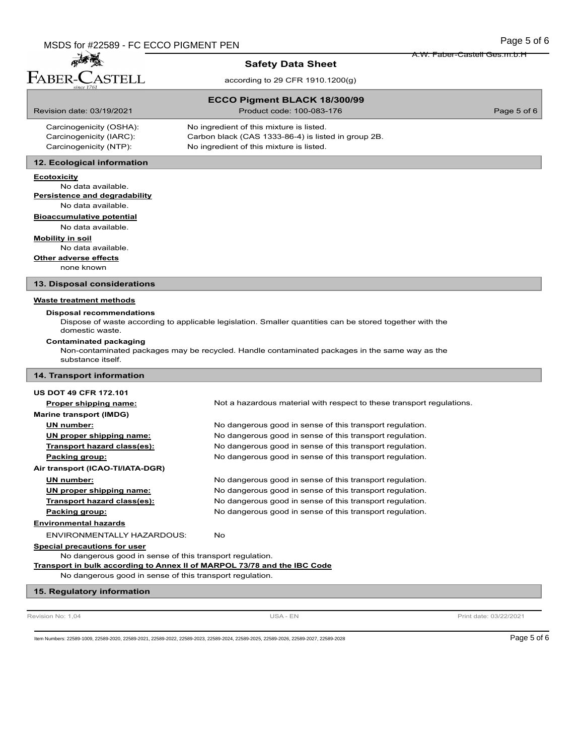孟子 FABER-CASTELL

#### **Safety Data Sheet**

according to 29 CFR 1910.1200(g)

### **ECCO Pigment BLACK 18/300/99**

Revision date: 03/19/2021 Product code: 100-083-176 Page 5 of 6

A.W. Faber-Castell Ges.m.b.H

| Carcinogenicity (OSHA): | No ingredient of this mixture is listed.            |
|-------------------------|-----------------------------------------------------|
| Carcinogenicity (IARC): | Carbon black (CAS 1333-86-4) is listed in group 2B. |
| Carcinogenicity (NTP):  | No ingredient of this mixture is listed.            |

### **12. Ecological information**

#### **Ecotoxicity**

No data available. **Persistence and degradability** No data available.

**Bioaccumulative potential** No data available.

**Mobility in soil**

No data available.

**Other adverse effects**

none known

**13. Disposal considerations**

#### **Waste treatment methods**

#### **Disposal recommendations**

Dispose of waste according to applicable legislation. Smaller quantities can be stored together with the

domestic waste.

**Contaminated packaging**

Non-contaminated packages may be recycled. Handle contaminated packages in the same way as the substance itself.

#### **14. Transport information**

### **US DOT 49 CFR 172.101 Proper shipping name:** Not a hazardous material with respect to these transport regulations. **Marine transport (IMDG) UN number:** No dangerous good in sense of this transport regulation. **UN proper shipping name:** No dangerous good in sense of this transport regulation. **Transport hazard class(es):** No dangerous good in sense of this transport regulation. **Packing group:** The South Compact of the Sense of this transport regulation. **Air transport (ICAO-TI/IATA-DGR) UN number:** No dangerous good in sense of this transport regulation. **UN proper shipping name:** No dangerous good in sense of this transport regulation. **Transport hazard class(es):** No dangerous good in sense of this transport regulation. **Packing group:** No dangerous good in sense of this transport regulation. **Environmental hazards** ENVIRONMENTALLY HAZARDOUS: No **Special precautions for user** No dangerous good in sense of this transport regulation. **Transport in bulk according to Annex II of MARPOL 73/78 and the IBC Code** No dangerous good in sense of this transport regulation.

#### **15. Regulatory information**

Revision No: 1,04 **Print date: 03/22/2021** USA - EN USA - EN Print date: 03/22/2021

Item Numbers: 22589-1009, 22589-2020, 22589-2021, 22589-2022, 22589-2023, 22589-2025, 22589-2025, 22589-2026, 22589-2026, 22589-2027, 22589-2027, 22589-2028